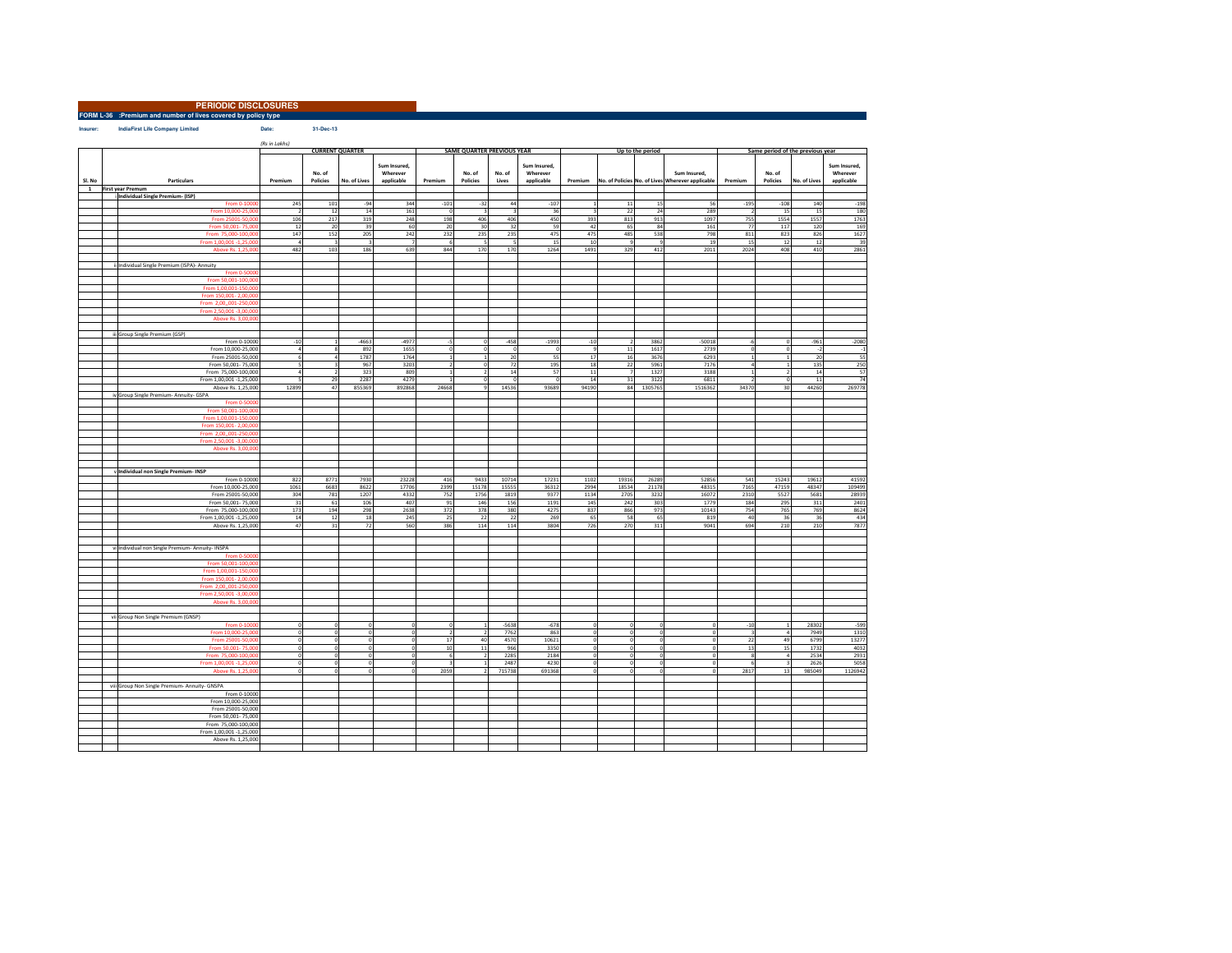**FORM L-36 :Premium and number of lives covered by policy typePERIODIC DISCLOSURES**

Date: 31-Dec-13  $$ 

|        |                                                  | (Rs in Lakhs)<br><b>CURRENT QUARTER</b> |                    |                | <b>SAME QUARTER PREVIOUS YEAR</b>      |                                      |                                    |                    |                                        |                      |             |                  | Same period of the previous year                                         |             |                    |                |                                        |
|--------|--------------------------------------------------|-----------------------------------------|--------------------|----------------|----------------------------------------|--------------------------------------|------------------------------------|--------------------|----------------------------------------|----------------------|-------------|------------------|--------------------------------------------------------------------------|-------------|--------------------|----------------|----------------------------------------|
| Sl. No | Particulars                                      | Premium                                 | No. of<br>Policies | No. of Lives   | Sum Insured,<br>Wherever<br>applicable | Premium                              | No. of<br>Policies                 | No. of<br>Lives    | Sum Insured,<br>Wherever<br>applicable |                      |             | Up to the period | Sum Insured,<br>Premium No. of Policies No. of Lives Wherever applicable | Premium     | No. of<br>Policies | No. of Lives   | Sum Insured,<br>Wherever<br>applicable |
| 1      | <b>First year Premum</b>                         |                                         |                    |                |                                        |                                      |                                    |                    |                                        |                      |             |                  |                                                                          |             |                    |                |                                        |
|        | Individual Single Premium- (ISP)                 |                                         |                    |                |                                        |                                      |                                    |                    |                                        |                      |             |                  |                                                                          |             |                    |                |                                        |
|        | From 0-1000                                      | 245                                     | 101                | $-94$          | 344                                    | $-101$                               | $-32$                              | 44                 | $-107$                                 | $\overline{1}$       | $11\,$      | 15               | 56                                                                       | $-195$      | $-108$             | 140            | $-198$                                 |
|        | From 10,000-25,000                               | $\overline{\phantom{a}}$                | 12                 | 14             | 161                                    | $\theta$                             | $\mathbf{3}$                       |                    | 36                                     | $\mathbf{a}$         | 22          | 24               | 289                                                                      |             | -15                | 15             | 180                                    |
|        | From 25001-50,00                                 | 106                                     | 217                | 319            | 248                                    | 198                                  | 406                                | 406                | 450                                    | 393                  | 813         | 913              | 1097                                                                     | 755         | 1554               | 1557           | 1763                                   |
|        | From 50,001-75,00                                | 12                                      | 20                 | 39             | 60                                     | 20                                   | 30                                 | 32                 | 59                                     | 42                   | 65          | 84               | 161                                                                      | 77          | 117                | 120            | 169                                    |
|        | From 75,000-100,00                               | 147                                     | 152                | 205            | 242                                    | 232                                  | 235                                | 235                | 475                                    | 475                  | 485         | 538              | 798                                                                      | 811         | 823                | 826            | 1627                                   |
|        | From 1,00,001 -1,25,000                          | $\overline{a}$                          |                    | $\overline{a}$ |                                        | 6                                    | $\overline{\phantom{a}}$           |                    | 15                                     | 10                   |             | $^{\circ}$       | 15                                                                       | 15          | 12                 | 12             | 39                                     |
|        | Above Rs. 1.25,000                               | 482                                     | 103                | 186            | 639                                    | 844                                  | 170                                | 170                | 1264                                   | 1491                 | 329         | 412              | 2011                                                                     | 2024        | 408                | 410            | 2861                                   |
|        |                                                  |                                         |                    |                |                                        |                                      |                                    |                    |                                        |                      |             |                  |                                                                          |             |                    |                |                                        |
|        | ii Individual Single Premium (ISPA)- Annuity     |                                         |                    |                |                                        |                                      |                                    |                    |                                        |                      |             |                  |                                                                          |             |                    |                |                                        |
|        | From 0-5000                                      |                                         |                    |                |                                        |                                      |                                    |                    |                                        |                      |             |                  |                                                                          |             |                    |                |                                        |
|        | From 50.001-100.00                               |                                         |                    |                |                                        |                                      |                                    |                    |                                        |                      |             |                  |                                                                          |             |                    |                |                                        |
|        | From 1,00,001-150,00                             |                                         |                    |                |                                        |                                      |                                    |                    |                                        |                      |             |                  |                                                                          |             |                    |                |                                        |
|        | From 150,001-2,00,00                             |                                         |                    |                |                                        |                                      |                                    |                    |                                        |                      |             |                  |                                                                          |             |                    |                |                                        |
|        | From 2.00001-250.00                              |                                         |                    |                |                                        |                                      |                                    |                    |                                        |                      |             |                  |                                                                          |             |                    |                |                                        |
|        | From 2,50,001 -3,00,000                          |                                         |                    |                |                                        |                                      |                                    |                    |                                        |                      |             |                  |                                                                          |             |                    |                |                                        |
|        | Above Rs. 3,00,000                               |                                         |                    |                |                                        |                                      |                                    |                    |                                        |                      |             |                  |                                                                          |             |                    |                |                                        |
|        |                                                  |                                         |                    |                |                                        |                                      |                                    |                    |                                        |                      |             |                  |                                                                          |             |                    |                |                                        |
|        | iii Group Single Premium (GSP)                   |                                         |                    |                |                                        |                                      |                                    |                    |                                        |                      |             |                  |                                                                          |             |                    |                |                                        |
|        | From 0-10000<br>From 10,000-25,000               | $-10$<br>$\overline{a}$                 |                    | $-4663$<br>892 | $-4977$<br>1655                        | $-5$<br>o                            | $\boldsymbol{0}$<br>$\overline{0}$ | $-458$<br>$\Omega$ | $-1993$<br>$^{\circ}$                  | $^{\circ}10$<br>و    | 11          | 3862<br>1617     | $-50018$<br>2739                                                         |             |                    | $-961$<br>$-2$ | $-2080$<br>$-1$                        |
|        | From 25001-50,000                                | 6                                       |                    | 1787           | 1764                                   | $\mathbf 1$                          | <sup>1</sup>                       | 20                 | 55                                     | 17                   | 16          | 3676             | 6293                                                                     |             |                    | 20             | 55                                     |
|        | From 50,001-75,000                               | 5                                       |                    | 967            | 3203                                   | $\overline{2}$                       | $\overline{0}$                     | 72                 | 195                                    | 18                   | 22          | 5961             | 7176                                                                     |             |                    | 135            | 250                                    |
|        | From 75,000-100,000                              | $\overline{a}$                          |                    | 323            | 809                                    | $\mathbf 1$                          | $\overline{2}$                     | 14                 | 57                                     | $11\,$               |             | 1327             | 3188                                                                     |             |                    | 14             | 57                                     |
|        | From 1,00,001 -1,25,000                          |                                         | 29                 | 2287           | 4279                                   | $\overline{1}$                       | $\overline{0}$                     |                    | $\sqrt{2}$                             | 14                   | 31          | 3122             | 681                                                                      |             |                    | $11\,$         | 74                                     |
|        | Above Rs. 1,25,000                               | 12899                                   | 47                 | 855369         | 892868                                 | 24668                                | $\overline{\phantom{a}}$           | 14536              | 93689                                  | 94190                | 84          | 1305765          | 1516362                                                                  | 34370       | $\overline{a}$     | 44260          | 269778                                 |
|        | iv Group Single Premium- Annuity- GSPA           |                                         |                    |                |                                        |                                      |                                    |                    |                                        |                      |             |                  |                                                                          |             |                    |                |                                        |
|        | From 0-5000                                      |                                         |                    |                |                                        |                                      |                                    |                    |                                        |                      |             |                  |                                                                          |             |                    |                |                                        |
|        | From 50.001-100.00                               |                                         |                    |                |                                        |                                      |                                    |                    |                                        |                      |             |                  |                                                                          |             |                    |                |                                        |
|        | From 1.00.001-150.000                            |                                         |                    |                |                                        |                                      |                                    |                    |                                        |                      |             |                  |                                                                          |             |                    |                |                                        |
|        | From 150,001-2,00,00                             |                                         |                    |                |                                        |                                      |                                    |                    |                                        |                      |             |                  |                                                                          |             |                    |                |                                        |
|        | From 2,00,,001-250,00                            |                                         |                    |                |                                        |                                      |                                    |                    |                                        |                      |             |                  |                                                                          |             |                    |                |                                        |
|        | From 2,50,001 -3,00,000                          |                                         |                    |                |                                        |                                      |                                    |                    |                                        |                      |             |                  |                                                                          |             |                    |                |                                        |
|        | Above Rs. 3,00,00                                |                                         |                    |                |                                        |                                      |                                    |                    |                                        |                      |             |                  |                                                                          |             |                    |                |                                        |
|        |                                                  |                                         |                    |                |                                        |                                      |                                    |                    |                                        |                      |             |                  |                                                                          |             |                    |                |                                        |
|        |                                                  |                                         |                    |                |                                        |                                      |                                    |                    |                                        |                      |             |                  |                                                                          |             |                    |                |                                        |
|        | v Individual non Single Premium- INSP            |                                         |                    |                |                                        |                                      |                                    |                    |                                        |                      |             |                  |                                                                          |             |                    |                |                                        |
|        | From 0-10000<br>From 10,000-25,000               | 822                                     | 8771<br>6683       | 7930           | 23228                                  | 416<br>2399                          | 9433                               | 10714<br>15555     | 17231                                  | 1102<br>2994         | 19316       | 26289<br>21178   | 52856<br>48315                                                           | 541         | 15243<br>47159     | 19612<br>48347 | 41592<br>109499                        |
|        |                                                  | 1061<br>304                             |                    | 8622           | 17706                                  |                                      | 15178<br>1756                      |                    | 36312<br>9377                          | 1134                 | 18534       |                  | 16072                                                                    | 7165        |                    | 5681           | 28939                                  |
|        | From 25001-50,000<br>From 50,001-75,000          | 31                                      | 781<br>61          | 1207<br>106    | 4332<br>407                            | 752                                  | 146                                | 1819<br>156        | 1191                                   | 145                  | 2705<br>242 | 3232<br>303      | 1779                                                                     | 2310<br>184 | 5527<br>295        | 311            |                                        |
|        | From 75,000-100,000                              | 173                                     | 194                | 298            | 2638                                   | $\frac{91}{372}$                     | 378                                | 380                | 4275                                   | 837                  | 866         | 973              | 1014                                                                     | 754         | 765                | 769            | 2401<br>8624                           |
|        | From 1,00,001 -1,25,000                          | 14                                      | 12                 | 18             | 245                                    | 25                                   | 22                                 | 22                 | 269                                    | 65                   | 58          | 65               | 819                                                                      | 40          | 36                 | 36             | 434                                    |
|        | Above Rs. 1,25,000                               | 47                                      | 31                 | 72             | 560                                    | 386                                  | 114                                | 114                | 3804                                   | 726                  | 270         | 311              | 9041                                                                     | 694         | 210                | 210            | 7877                                   |
|        |                                                  |                                         |                    |                |                                        |                                      |                                    |                    |                                        |                      |             |                  |                                                                          |             |                    |                |                                        |
|        |                                                  |                                         |                    |                |                                        |                                      |                                    |                    |                                        |                      |             |                  |                                                                          |             |                    |                |                                        |
|        | vi Individual non Single Premium- Annuity- INSPA |                                         |                    |                |                                        |                                      |                                    |                    |                                        |                      |             |                  |                                                                          |             |                    |                |                                        |
|        | From 0-50000                                     |                                         |                    |                |                                        |                                      |                                    |                    |                                        |                      |             |                  |                                                                          |             |                    |                |                                        |
|        | From 50,001-100,000                              |                                         |                    |                |                                        |                                      |                                    |                    |                                        |                      |             |                  |                                                                          |             |                    |                |                                        |
|        | From 1,00,001-150,00                             |                                         |                    |                |                                        |                                      |                                    |                    |                                        |                      |             |                  |                                                                          |             |                    |                |                                        |
|        | From 150,001-2,00,000                            |                                         |                    |                |                                        |                                      |                                    |                    |                                        |                      |             |                  |                                                                          |             |                    |                |                                        |
|        | From 2.00001-250.000                             |                                         |                    |                |                                        |                                      |                                    |                    |                                        |                      |             |                  |                                                                          |             |                    |                |                                        |
|        | From 2.50.001-3.00.000                           |                                         |                    |                |                                        |                                      |                                    |                    |                                        |                      |             |                  |                                                                          |             |                    |                |                                        |
|        | Above Rs. 3,00,000                               |                                         |                    |                |                                        |                                      |                                    |                    |                                        |                      |             |                  |                                                                          |             |                    |                |                                        |
|        |                                                  |                                         |                    |                |                                        |                                      |                                    |                    |                                        |                      |             |                  |                                                                          |             |                    |                |                                        |
|        | vii Group Non Single Premium (GNSP)              |                                         |                    |                |                                        |                                      |                                    |                    |                                        |                      |             |                  |                                                                          |             |                    |                |                                        |
|        | From 0-1000                                      | $\Omega$<br>$\Omega$                    |                    | £.<br>$\Omega$ |                                        | $\Omega$<br>$\overline{\phantom{a}}$ |                                    | $-5638$            | $-678$                                 | $\Omega$<br>$\Omega$ |             |                  |                                                                          | $-10$       |                    | 28302          | $-599$                                 |
|        | From 10,000-25,000                               | $\Omega$                                |                    |                |                                        |                                      | 40                                 | 7762<br>4570       | 863<br>10621                           | $\circ$              |             |                  |                                                                          |             | 49                 | 7949<br>6799   | 1310                                   |
|        | From 25001-50,00<br>From 50,001-75,000           | $\mathbf 0$                             |                    | $\Omega$       |                                        | $17\,$<br>10                         | 11                                 | 966                | 3350                                   | $\overline{0}$       |             |                  |                                                                          | 22<br>13    | 15                 | 1732           | 13277<br>4032                          |
|        | From 75,000-100,000                              | $\circ$                                 |                    | $\theta$       |                                        | 6                                    | $\overline{2}$                     | 2285               | 2184                                   | o                    |             |                  |                                                                          |             |                    | 2534           | 2931                                   |
|        | From 1,00,001 -1,25,000                          | $\Omega$                                |                    | $\Omega$       |                                        |                                      | $\mathbf{1}$                       | 2487               | 4230                                   | $\circ$              |             |                  |                                                                          |             |                    | 2626           | 5058                                   |
|        | Above Rs. 1,25,00                                |                                         |                    |                |                                        | 2059                                 | 2 <sup>1</sup>                     | 715738             | 691368                                 | $\theta$             |             |                  |                                                                          | 2817        | 13                 | 985049         | 1126942                                |
|        |                                                  |                                         |                    |                |                                        |                                      |                                    |                    |                                        |                      |             |                  |                                                                          |             |                    |                |                                        |
|        | viii Group Non Single Premium- Annuity- GNSPA    |                                         |                    |                |                                        |                                      |                                    |                    |                                        |                      |             |                  |                                                                          |             |                    |                |                                        |
|        | From 0-10000                                     |                                         |                    |                |                                        |                                      |                                    |                    |                                        |                      |             |                  |                                                                          |             |                    |                |                                        |
|        | From 10,000-25,000                               |                                         |                    |                |                                        |                                      |                                    |                    |                                        |                      |             |                  |                                                                          |             |                    |                |                                        |
|        | From 25001-50,000                                |                                         |                    |                |                                        |                                      |                                    |                    |                                        |                      |             |                  |                                                                          |             |                    |                |                                        |
|        | From 50,001-75,000                               |                                         |                    |                |                                        |                                      |                                    |                    |                                        |                      |             |                  |                                                                          |             |                    |                |                                        |
|        | From 75,000-100,000                              |                                         |                    |                |                                        |                                      |                                    |                    |                                        |                      |             |                  |                                                                          |             |                    |                |                                        |
|        | From 1.00.001 -1.25.000                          |                                         |                    |                |                                        |                                      |                                    |                    |                                        |                      |             |                  |                                                                          |             |                    |                |                                        |
|        | Above Rs. 1,25,000                               |                                         |                    |                |                                        |                                      |                                    |                    |                                        |                      |             |                  |                                                                          |             |                    |                |                                        |
|        |                                                  |                                         |                    |                |                                        |                                      |                                    |                    |                                        |                      |             |                  |                                                                          |             |                    |                |                                        |